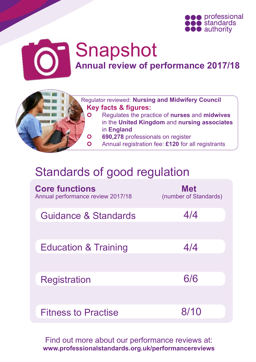



## Snapshot **Annual review of performance 2017/18**



- Regulator reviewed: **Nursing and Midwifery Council Key facts & figures:**
	- Regulates the practice of **nurses** and **midwives** in the **United Kingdom** and **nursing associates**  in **England**
	- **690,278** professionals on register
	- Annual registration fee: **£120** for all registrants

### Standards of good regulation

| <b>Core functions</b><br>Annual performance review 2017/18 | <b>Met</b><br>(number of Standards) |
|------------------------------------------------------------|-------------------------------------|
| Guidance & Standards                                       | 4/4                                 |
| <b>Education &amp; Training</b>                            | 4/4                                 |
| <b>Registration</b>                                        | 6/6                                 |
| <b>Fitness to Practise</b>                                 | 8/10                                |

Find out more about our performance reviews at: **[www.professionalstandards.org.uk/performancereviews](http://www.professionalstandards.org.uk/performancereviews)**